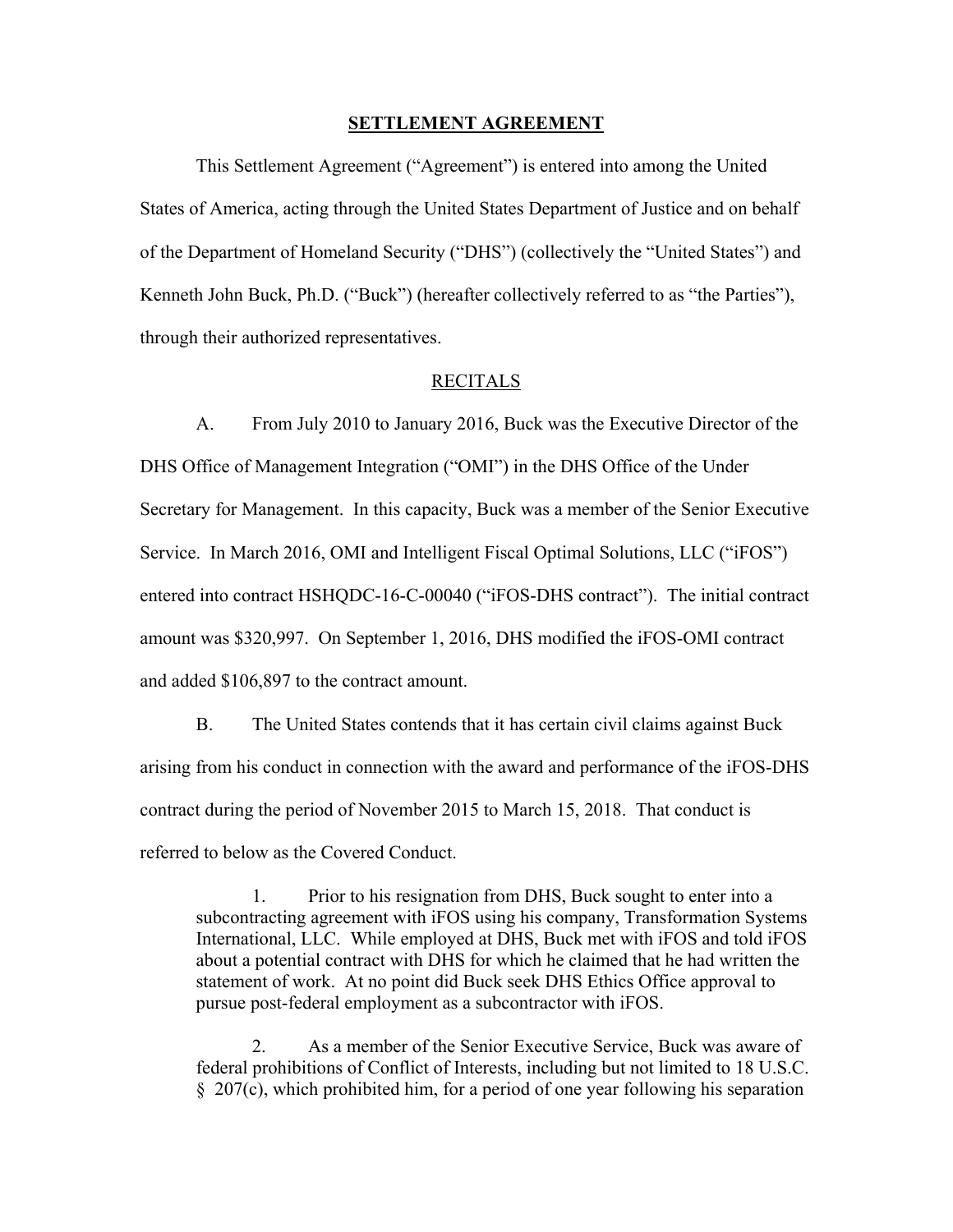### **SETTLEMENT AGREEMENT**

 This Settlement Agreement ("Agreement") is entered into among the United States of America, acting through the United States Department of Justice and on behalf of the Department of Homeland Security ("DHS") (collectively the "United States") and Kenneth John Buck, Ph.D. ("Buck") (hereafter collectively referred to as "the Parties"), through their authorized representatives.

### RECITALS

 A. From July 2010 to January 2016, Buck was the Executive Director of the DHS Office of Management Integration ("OMI") in the DHS Office of the Under Secretary for Management. In this capacity, Buck was a member of the Senior Executive Service. In March 2016, OMI and Intelligent Fiscal Optimal Solutions, LLC ("iFOS") entered into contract HSHQDC-16-C-00040 ("iFOS-DHS contract"). The initial contract amount was \$320,997. On September 1, 2016, DHS modified the iFOS-OMI contract and added \$106,897 to the contract amount.

 B. The United States contends that it has certain civil claims against Buck arising from his conduct in connection with the award and performance of the iFOS-DHS contract during the period of November 2015 to March 15, 2018. That conduct is referred to below as the Covered Conduct.

1. Prior to his resignation from DHS, Buck sought to enter into a subcontracting agreement with iFOS using his company, Transformation Systems International, LLC. While employed at DHS, Buck met with iFOS and told iFOS about a potential contract with DHS for which he claimed that he had written the statement of work. At no point did Buck seek DHS Ethics Office approval to pursue post-federal employment as a subcontractor with iFOS.

2. As a member of the Senior Executive Service, Buck was aware of federal prohibitions of Conflict of Interests, including but not limited to 18 U.S.C. § 207(c), which prohibited him, for a period of one year following his separation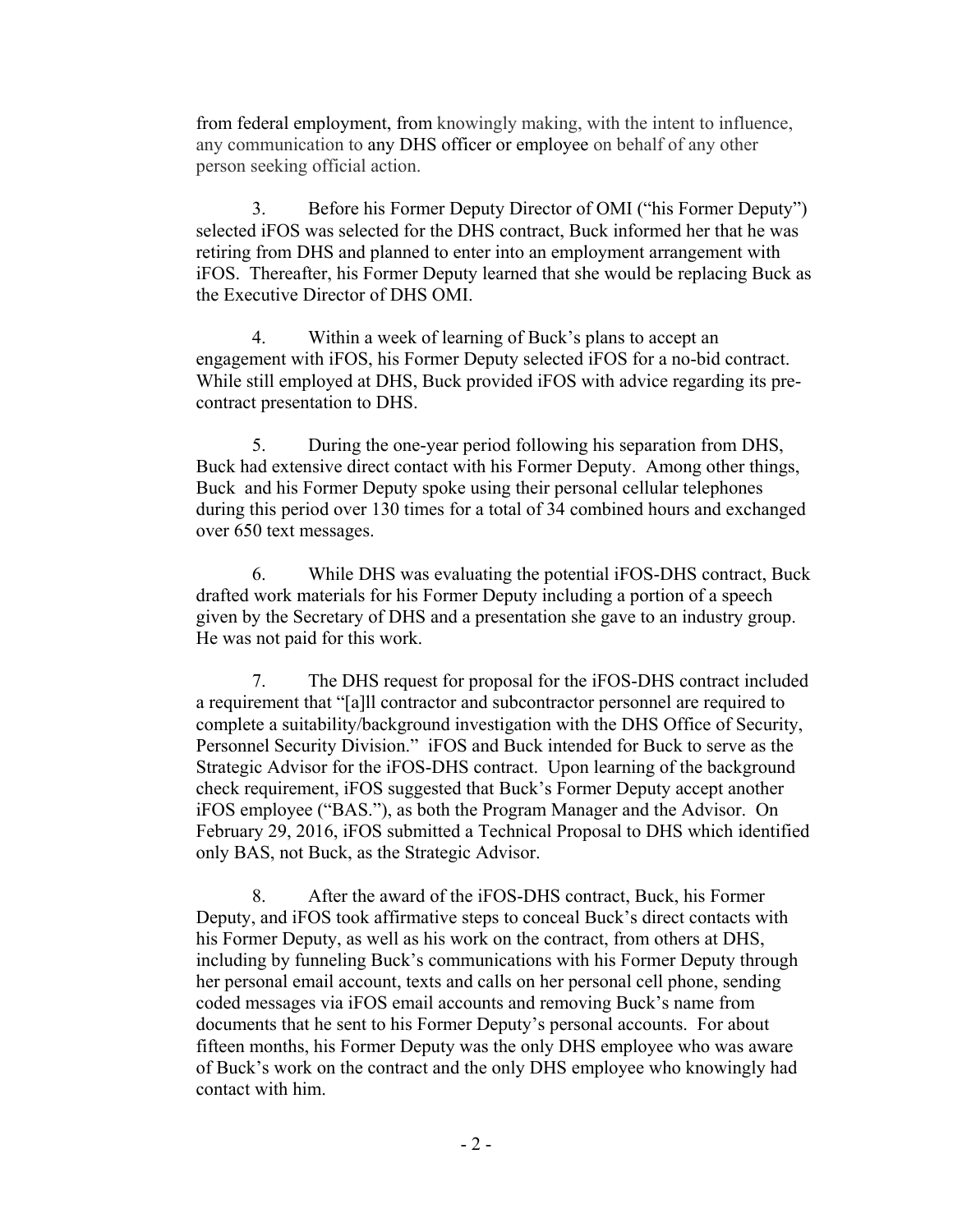from federal employment, from knowingly making, with the intent to influence, any communication to any DHS officer or employee on behalf of any other person seeking official action.

3. Before his Former Deputy Director of OMI ("his Former Deputy") selected iFOS was selected for the DHS contract, Buck informed her that he was retiring from DHS and planned to enter into an employment arrangement with iFOS. Thereafter, his Former Deputy learned that she would be replacing Buck as the Executive Director of DHS OMI.

4. Within a week of learning of Buck's plans to accept an engagement with iFOS, his Former Deputy selected iFOS for a no-bid contract. While still employed at DHS, Buck provided iFOS with advice regarding its precontract presentation to DHS.

5. During the one-year period following his separation from DHS, Buck had extensive direct contact with his Former Deputy. Among other things, Buck and his Former Deputy spoke using their personal cellular telephones during this period over 130 times for a total of 34 combined hours and exchanged over 650 text messages.

6. While DHS was evaluating the potential iFOS-DHS contract, Buck drafted work materials for his Former Deputy including a portion of a speech given by the Secretary of DHS and a presentation she gave to an industry group. He was not paid for this work.

7. The DHS request for proposal for the iFOS-DHS contract included a requirement that "[a]ll contractor and subcontractor personnel are required to complete a suitability/background investigation with the DHS Office of Security, Personnel Security Division." iFOS and Buck intended for Buck to serve as the Strategic Advisor for the iFOS-DHS contract. Upon learning of the background check requirement, iFOS suggested that Buck's Former Deputy accept another iFOS employee ("BAS."), as both the Program Manager and the Advisor. On February 29, 2016, iFOS submitted a Technical Proposal to DHS which identified only BAS, not Buck, as the Strategic Advisor.

8. After the award of the iFOS-DHS contract, Buck, his Former Deputy, and iFOS took affirmative steps to conceal Buck's direct contacts with his Former Deputy, as well as his work on the contract, from others at DHS, including by funneling Buck's communications with his Former Deputy through her personal email account, texts and calls on her personal cell phone, sending coded messages via iFOS email accounts and removing Buck's name from documents that he sent to his Former Deputy's personal accounts. For about fifteen months, his Former Deputy was the only DHS employee who was aware of Buck's work on the contract and the only DHS employee who knowingly had contact with him.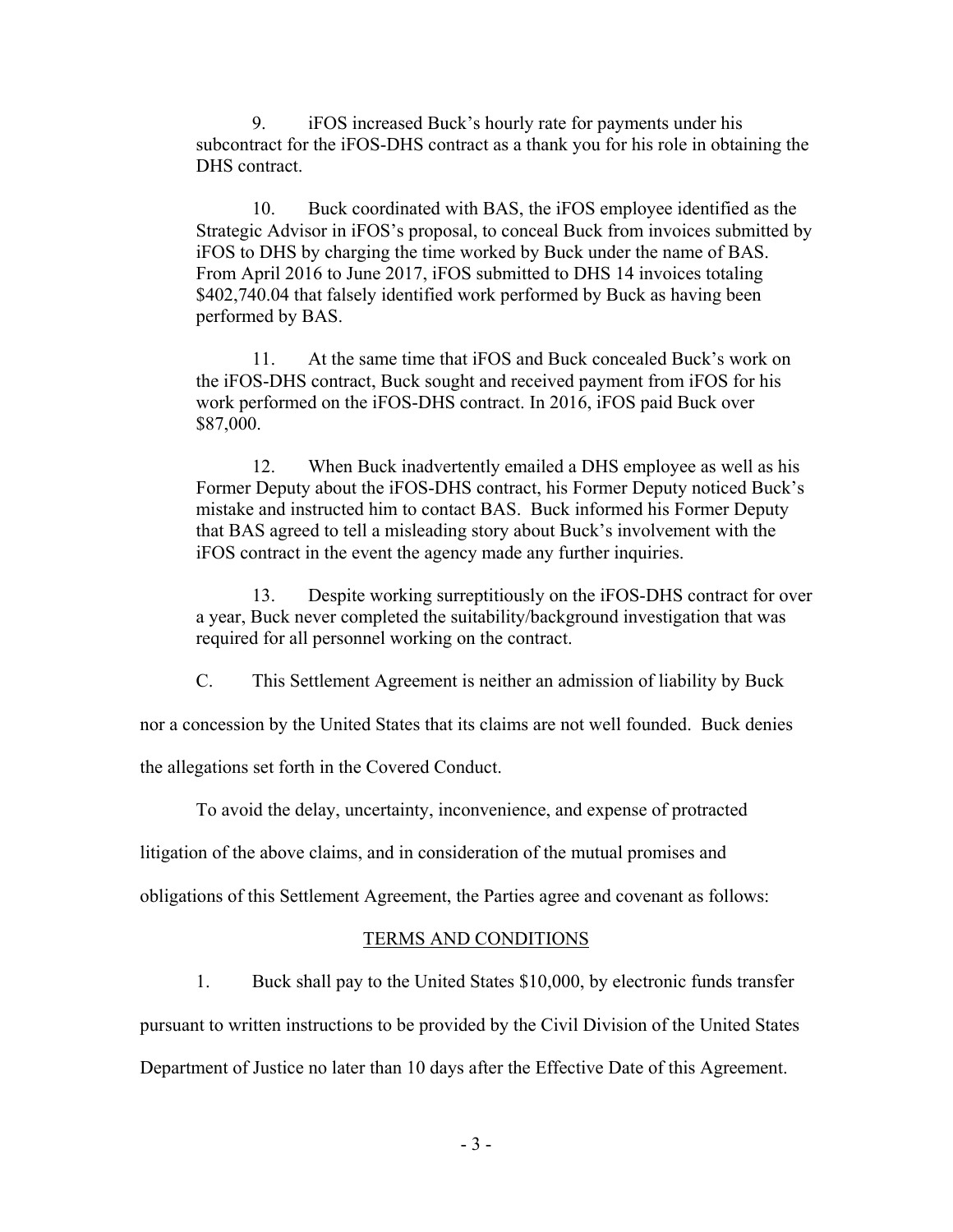9. iFOS increased Buck's hourly rate for payments under his subcontract for the iFOS-DHS contract as a thank you for his role in obtaining the DHS contract.

10. Buck coordinated with BAS, the iFOS employee identified as the Strategic Advisor in iFOS's proposal, to conceal Buck from invoices submitted by iFOS to DHS by charging the time worked by Buck under the name of BAS. From April 2016 to June 2017, iFOS submitted to DHS 14 invoices totaling \$402,740.04 that falsely identified work performed by Buck as having been performed by BAS.

11. At the same time that iFOS and Buck concealed Buck's work on the iFOS-DHS contract, Buck sought and received payment from iFOS for his work performed on the iFOS-DHS contract. In 2016, iFOS paid Buck over \$87,000.

12. When Buck inadvertently emailed a DHS employee as well as his Former Deputy about the iFOS-DHS contract, his Former Deputy noticed Buck's mistake and instructed him to contact BAS. Buck informed his Former Deputy that BAS agreed to tell a misleading story about Buck's involvement with the iFOS contract in the event the agency made any further inquiries.

13. Despite working surreptitiously on the iFOS-DHS contract for over a year, Buck never completed the suitability/background investigation that was required for all personnel working on the contract.

C. This Settlement Agreement is neither an admission of liability by Buck

nor a concession by the United States that its claims are not well founded. Buck denies

the allegations set forth in the Covered Conduct.

To avoid the delay, uncertainty, inconvenience, and expense of protracted

litigation of the above claims, and in consideration of the mutual promises and

obligations of this Settlement Agreement, the Parties agree and covenant as follows:

### TERMS AND CONDITIONS

1. Buck shall pay to the United States \$10,000, by electronic funds transfer

pursuant to written instructions to be provided by the Civil Division of the United States

Department of Justice no later than 10 days after the Effective Date of this Agreement.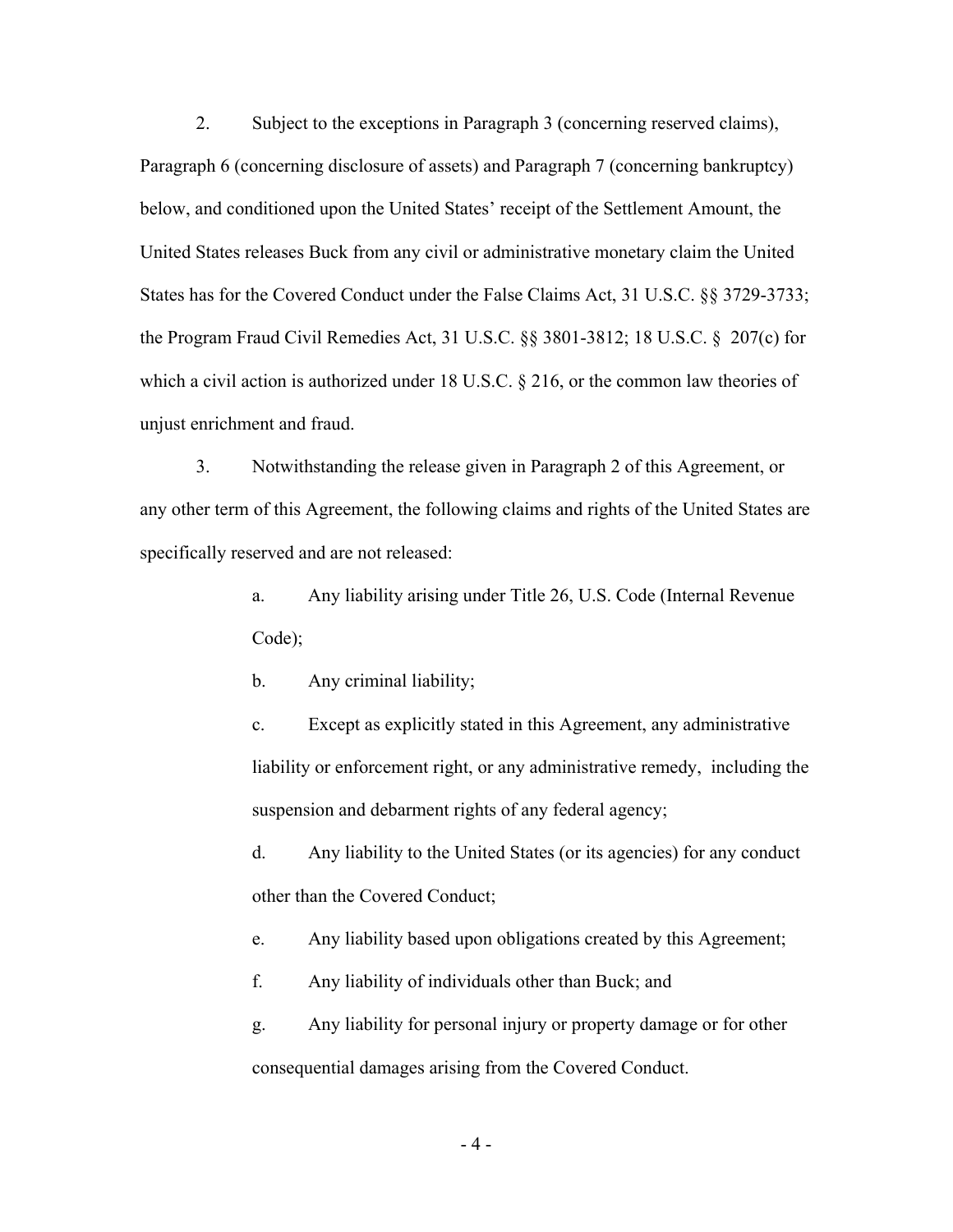2. Subject to the exceptions in Paragraph 3 (concerning reserved claims), Paragraph 6 (concerning disclosure of assets) and Paragraph 7 (concerning bankruptcy) below, and conditioned upon the United States' receipt of the Settlement Amount, the United States releases Buck from any civil or administrative monetary claim the United States has for the Covered Conduct under the False Claims Act, 31 U.S.C. §§ 3729-3733; the Program Fraud Civil Remedies Act, 31 U.S.C. §§ 3801-3812; 18 U.S.C. § 207(c) for which a civil action is authorized under 18 U.S.C.  $\S$  216, or the common law theories of unjust enrichment and fraud.

 3. Notwithstanding the release given in Paragraph 2 of this Agreement, or any other term of this Agreement, the following claims and rights of the United States are specifically reserved and are not released:

> a. Any liability arising under Title 26, U.S. Code (Internal Revenue Code);

b. Any criminal liability;

c. Except as explicitly stated in this Agreement, any administrative liability or enforcement right, or any administrative remedy, including the suspension and debarment rights of any federal agency;

d. Any liability to the United States (or its agencies) for any conduct other than the Covered Conduct;

e. Any liability based upon obligations created by this Agreement;

f. Any liability of individuals other than Buck; and

g. Any liability for personal injury or property damage or for other consequential damages arising from the Covered Conduct.

- 4 -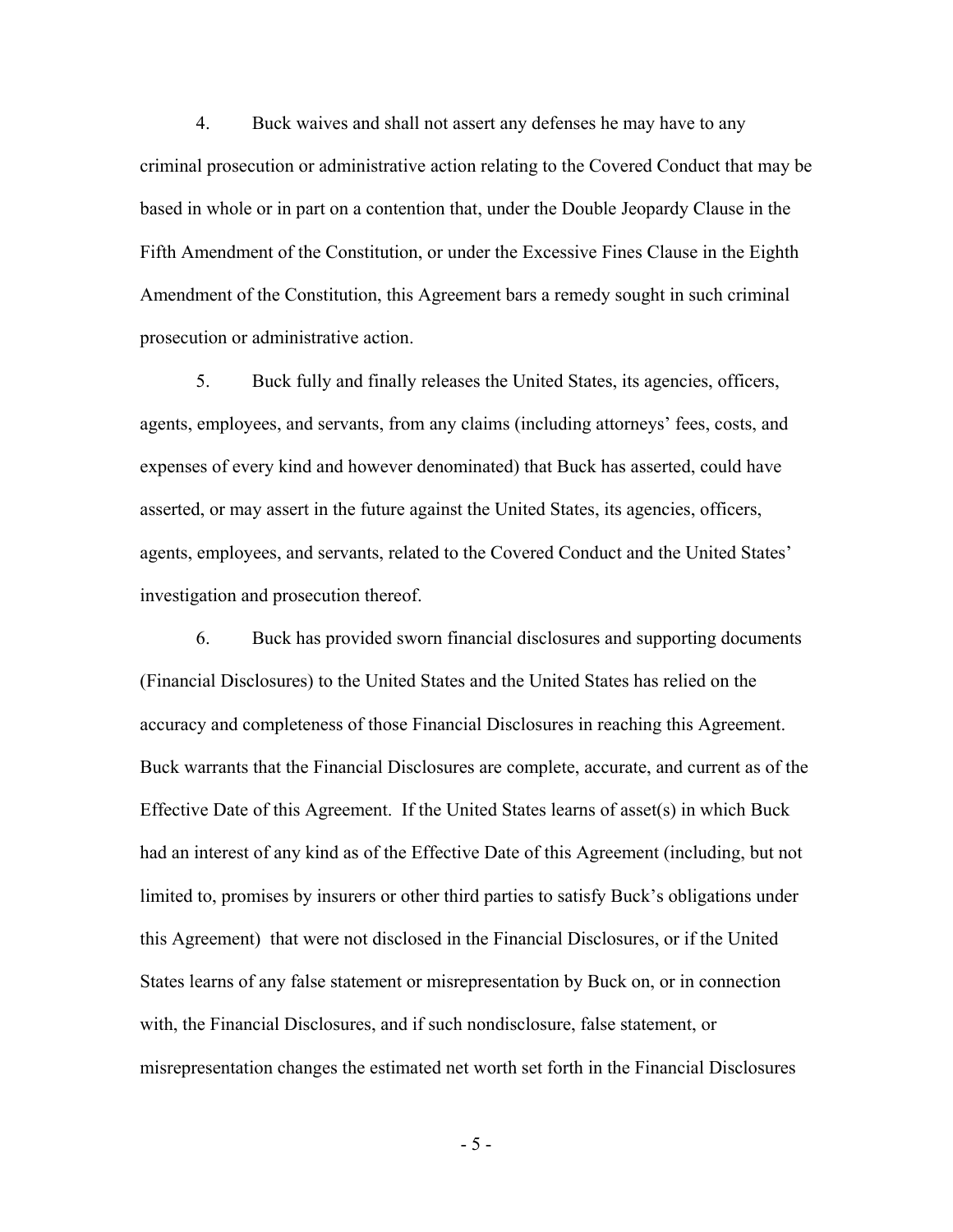4. Buck waives and shall not assert any defenses he may have to any criminal prosecution or administrative action relating to the Covered Conduct that may be based in whole or in part on a contention that, under the Double Jeopardy Clause in the Fifth Amendment of the Constitution, or under the Excessive Fines Clause in the Eighth Amendment of the Constitution, this Agreement bars a remedy sought in such criminal prosecution or administrative action.

 5. Buck fully and finally releases the United States, its agencies, officers, agents, employees, and servants, from any claims (including attorneys' fees, costs, and expenses of every kind and however denominated) that Buck has asserted, could have asserted, or may assert in the future against the United States, its agencies, officers, agents, employees, and servants, related to the Covered Conduct and the United States' investigation and prosecution thereof.

 6. Buck has provided sworn financial disclosures and supporting documents (Financial Disclosures) to the United States and the United States has relied on the accuracy and completeness of those Financial Disclosures in reaching this Agreement. Buck warrants that the Financial Disclosures are complete, accurate, and current as of the Effective Date of this Agreement. If the United States learns of asset(s) in which Buck had an interest of any kind as of the Effective Date of this Agreement (including, but not limited to, promises by insurers or other third parties to satisfy Buck's obligations under this Agreement) that were not disclosed in the Financial Disclosures, or if the United States learns of any false statement or misrepresentation by Buck on, or in connection with, the Financial Disclosures, and if such nondisclosure, false statement, or misrepresentation changes the estimated net worth set forth in the Financial Disclosures

- 5 -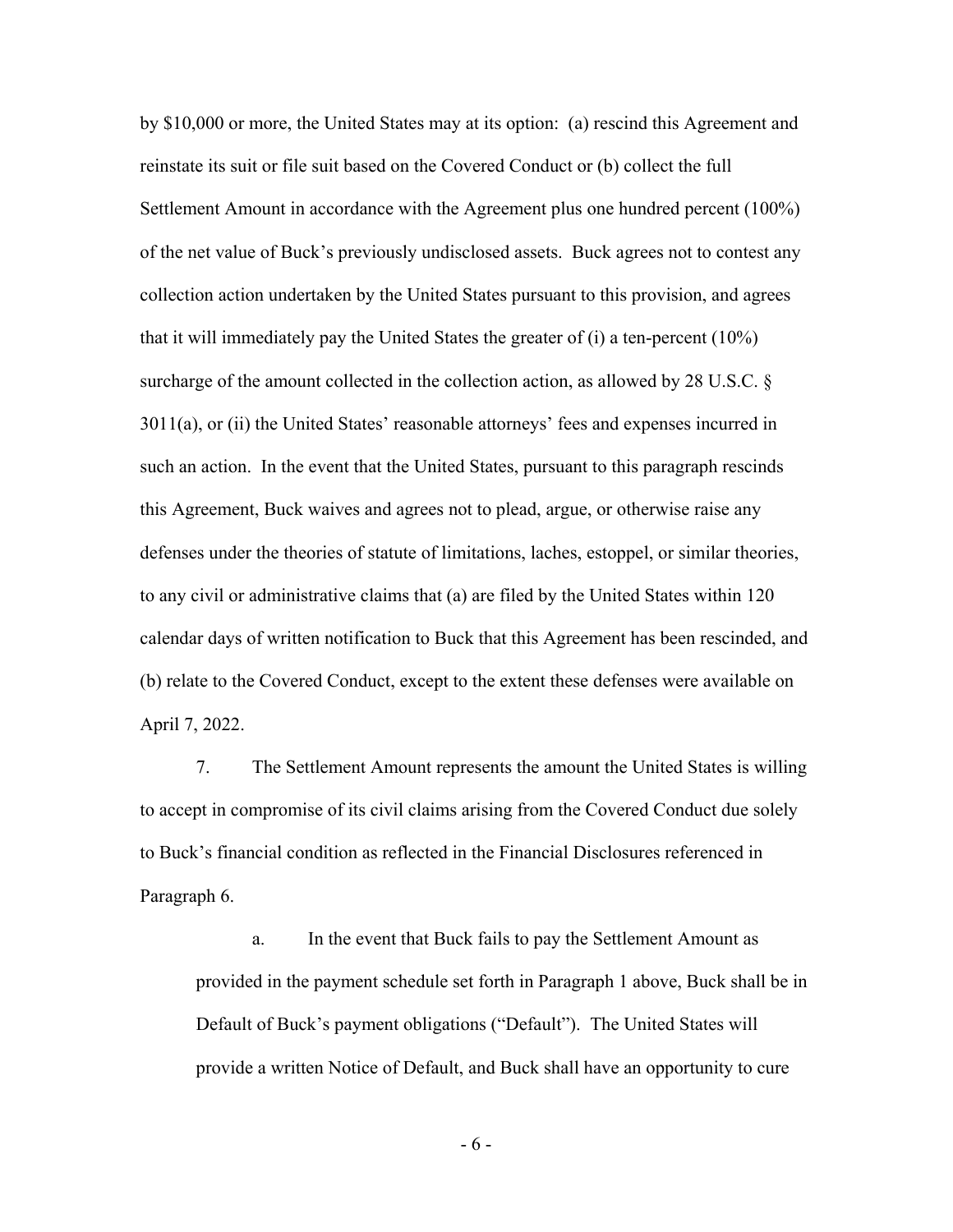by \$10,000 or more, the United States may at its option: (a) rescind this Agreement and reinstate its suit or file suit based on the Covered Conduct or (b) collect the full Settlement Amount in accordance with the Agreement plus one hundred percent (100%) of the net value of Buck's previously undisclosed assets. Buck agrees not to contest any collection action undertaken by the United States pursuant to this provision, and agrees that it will immediately pay the United States the greater of (i) a ten-percent (10%) surcharge of the amount collected in the collection action, as allowed by 28 U.S.C. § 3011(a), or (ii) the United States' reasonable attorneys' fees and expenses incurred in such an action. In the event that the United States, pursuant to this paragraph rescinds this Agreement, Buck waives and agrees not to plead, argue, or otherwise raise any defenses under the theories of statute of limitations, laches, estoppel, or similar theories, to any civil or administrative claims that (a) are filed by the United States within 120 calendar days of written notification to Buck that this Agreement has been rescinded, and (b) relate to the Covered Conduct, except to the extent these defenses were available on April 7, 2022.

 7. The Settlement Amount represents the amount the United States is willing to accept in compromise of its civil claims arising from the Covered Conduct due solely to Buck's financial condition as reflected in the Financial Disclosures referenced in Paragraph 6.

a. In the event that Buck fails to pay the Settlement Amount as provided in the payment schedule set forth in Paragraph 1 above, Buck shall be in Default of Buck's payment obligations ("Default"). The United States will provide a written Notice of Default, and Buck shall have an opportunity to cure

- 6 -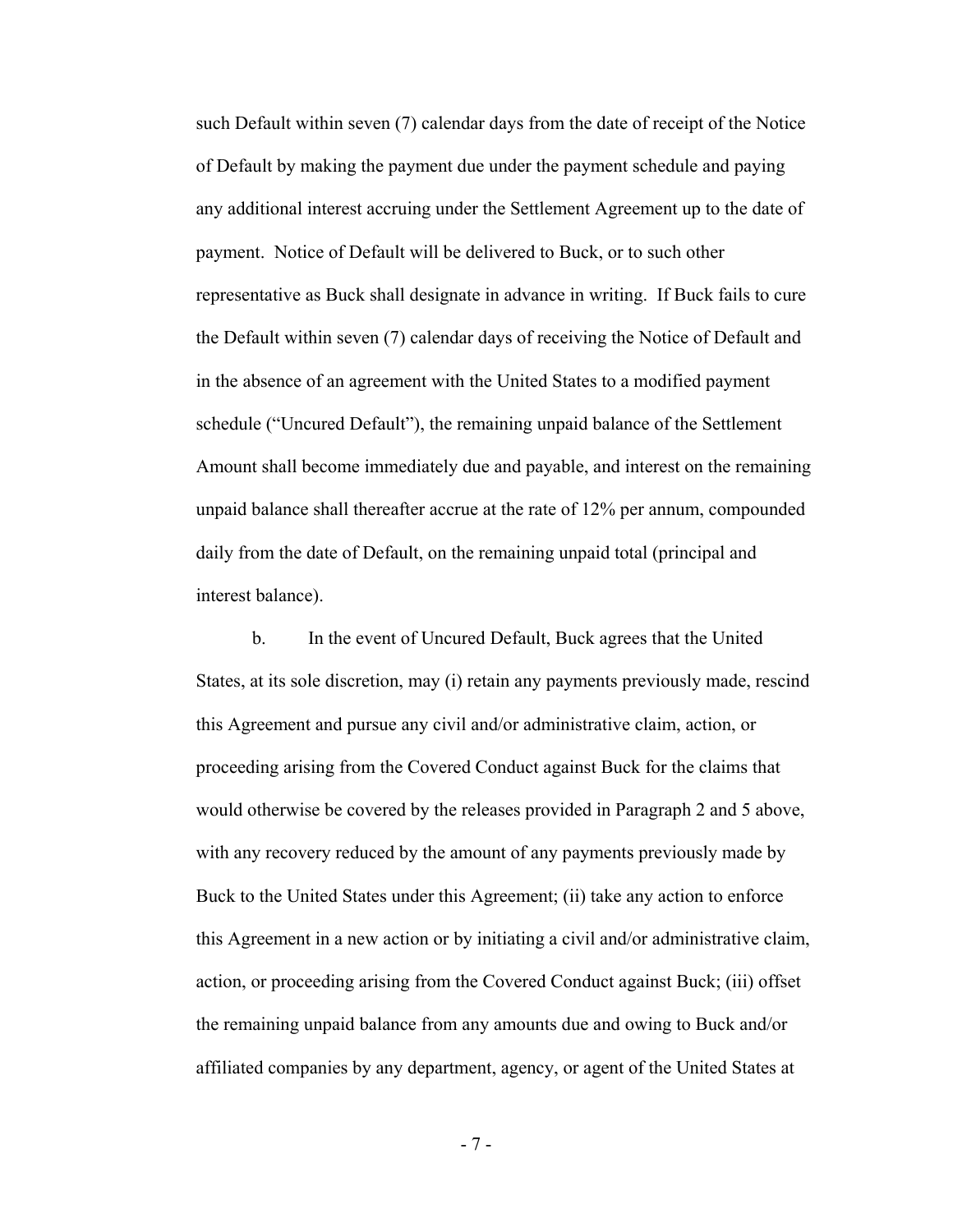such Default within seven (7) calendar days from the date of receipt of the Notice of Default by making the payment due under the payment schedule and paying any additional interest accruing under the Settlement Agreement up to the date of payment. Notice of Default will be delivered to Buck, or to such other representative as Buck shall designate in advance in writing. If Buck fails to cure the Default within seven (7) calendar days of receiving the Notice of Default and in the absence of an agreement with the United States to a modified payment schedule ("Uncured Default"), the remaining unpaid balance of the Settlement Amount shall become immediately due and payable, and interest on the remaining unpaid balance shall thereafter accrue at the rate of 12% per annum, compounded daily from the date of Default, on the remaining unpaid total (principal and interest balance).

b. In the event of Uncured Default, Buck agrees that the United States, at its sole discretion, may (i) retain any payments previously made, rescind this Agreement and pursue any civil and/or administrative claim, action, or proceeding arising from the Covered Conduct against Buck for the claims that would otherwise be covered by the releases provided in Paragraph 2 and 5 above, with any recovery reduced by the amount of any payments previously made by Buck to the United States under this Agreement; (ii) take any action to enforce this Agreement in a new action or by initiating a civil and/or administrative claim, action, or proceeding arising from the Covered Conduct against Buck; (iii) offset the remaining unpaid balance from any amounts due and owing to Buck and/or affiliated companies by any department, agency, or agent of the United States at

- 7 -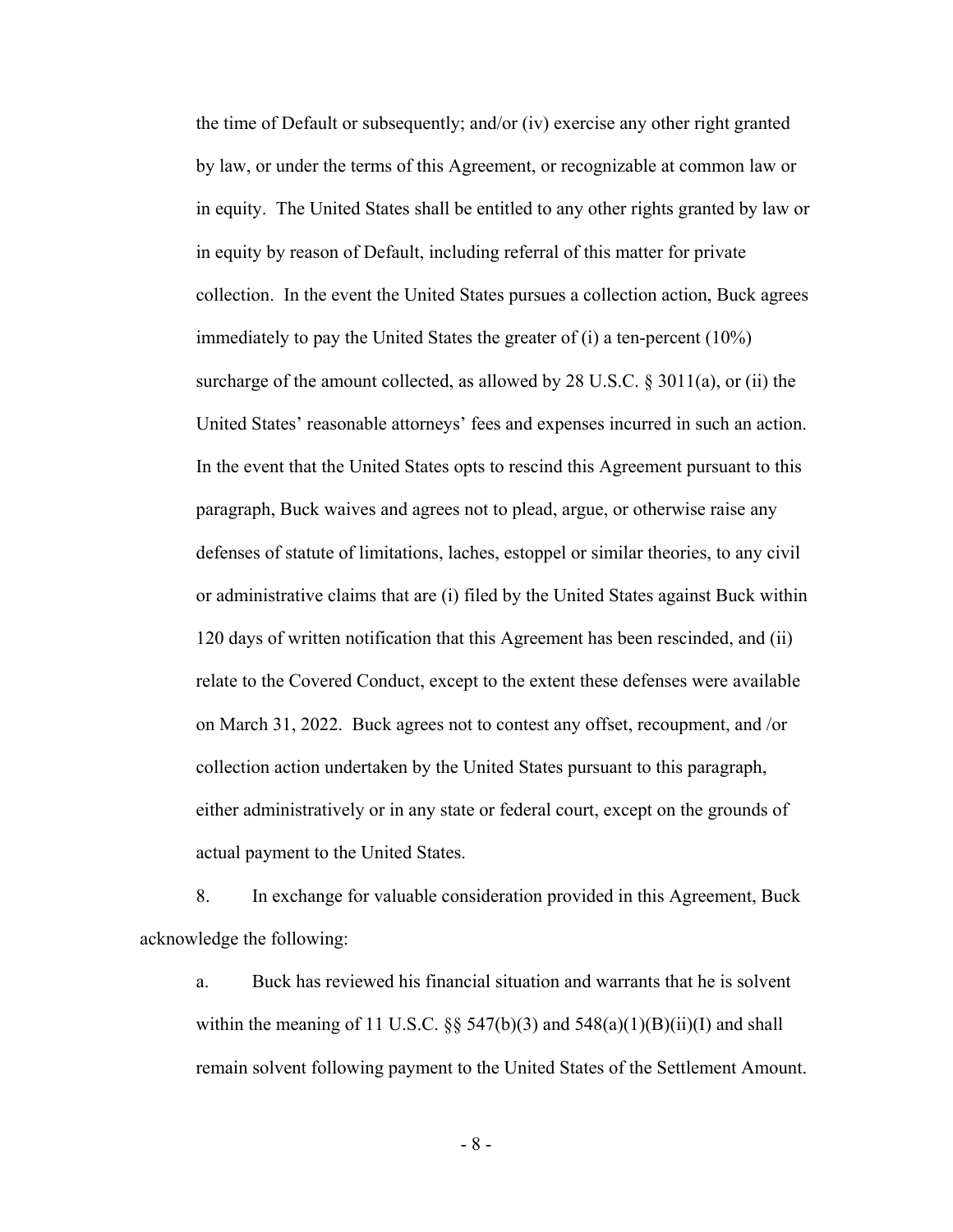the time of Default or subsequently; and/or (iv) exercise any other right granted by law, or under the terms of this Agreement, or recognizable at common law or in equity. The United States shall be entitled to any other rights granted by law or in equity by reason of Default, including referral of this matter for private collection. In the event the United States pursues a collection action, Buck agrees immediately to pay the United States the greater of (i) a ten-percent (10%) surcharge of the amount collected, as allowed by 28 U.S.C. § 3011(a), or (ii) the United States' reasonable attorneys' fees and expenses incurred in such an action. In the event that the United States opts to rescind this Agreement pursuant to this paragraph, Buck waives and agrees not to plead, argue, or otherwise raise any defenses of statute of limitations, laches, estoppel or similar theories, to any civil or administrative claims that are (i) filed by the United States against Buck within 120 days of written notification that this Agreement has been rescinded, and (ii) relate to the Covered Conduct, except to the extent these defenses were available on March 31, 2022. Buck agrees not to contest any offset, recoupment, and /or collection action undertaken by the United States pursuant to this paragraph, either administratively or in any state or federal court, except on the grounds of actual payment to the United States.

8. In exchange for valuable consideration provided in this Agreement, Buck acknowledge the following:

a. Buck has reviewed his financial situation and warrants that he is solvent within the meaning of 11 U.S.C.  $\S$  547(b)(3) and 548(a)(1)(B)(ii)(I) and shall remain solvent following payment to the United States of the Settlement Amount.

- 8 -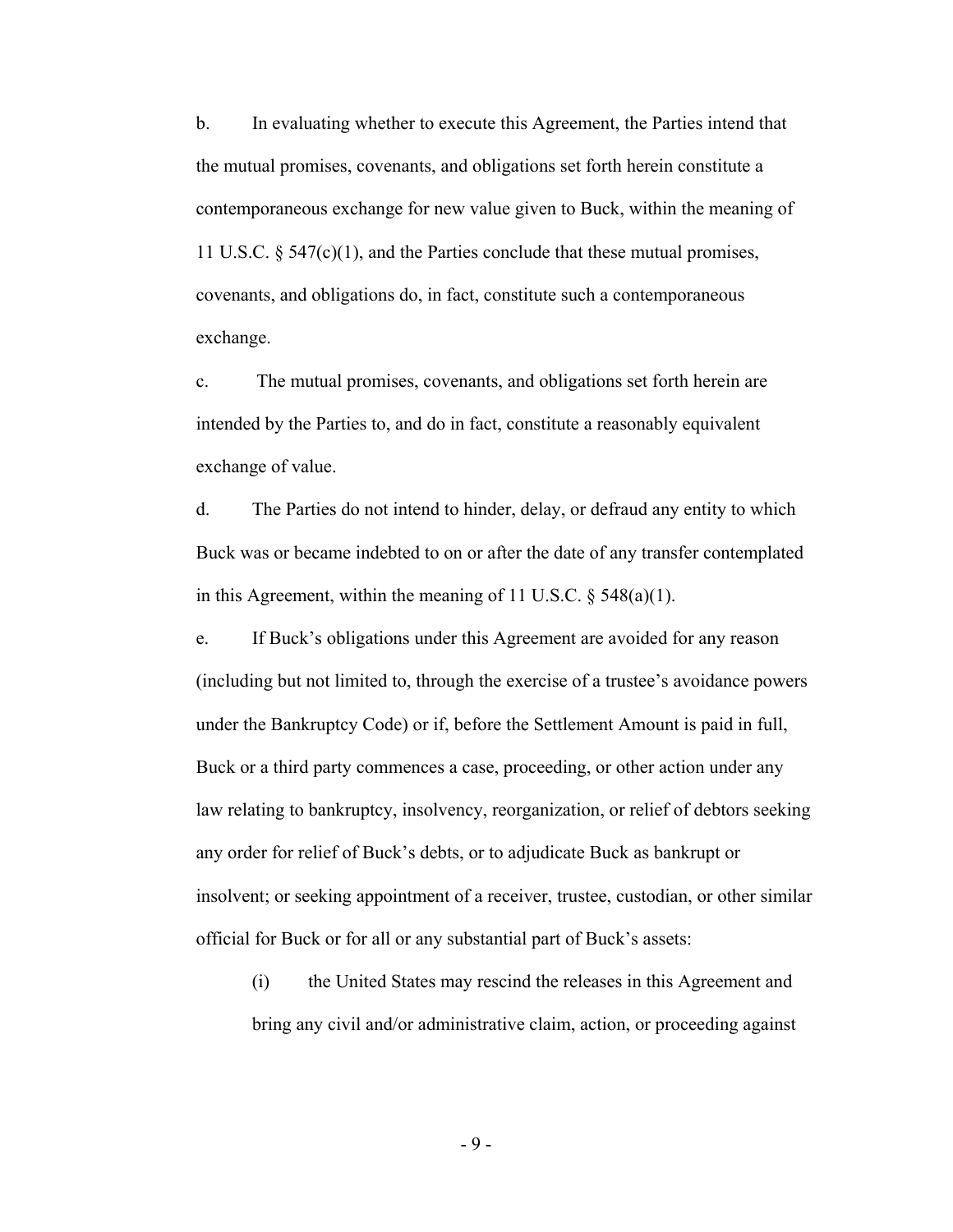b. In evaluating whether to execute this Agreement, the Parties intend that the mutual promises, covenants, and obligations set forth herein constitute a contemporaneous exchange for new value given to Buck, within the meaning of 11 U.S.C. § 547(c)(1), and the Parties conclude that these mutual promises, covenants, and obligations do, in fact, constitute such a contemporaneous exchange.

c. The mutual promises, covenants, and obligations set forth herein are intended by the Parties to, and do in fact, constitute a reasonably equivalent exchange of value.

d. The Parties do not intend to hinder, delay, or defraud any entity to which Buck was or became indebted to on or after the date of any transfer contemplated in this Agreement, within the meaning of 11 U.S.C.  $\S$  548(a)(1).

e. If Buck's obligations under this Agreement are avoided for any reason (including but not limited to, through the exercise of a trustee's avoidance powers under the Bankruptcy Code) or if, before the Settlement Amount is paid in full, Buck or a third party commences a case, proceeding, or other action under any law relating to bankruptcy, insolvency, reorganization, or relief of debtors seeking any order for relief of Buck's debts, or to adjudicate Buck as bankrupt or insolvent; or seeking appointment of a receiver, trustee, custodian, or other similar official for Buck or for all or any substantial part of Buck's assets:

(i) the United States may rescind the releases in this Agreement and bring any civil and/or administrative claim, action, or proceeding against

- 9 -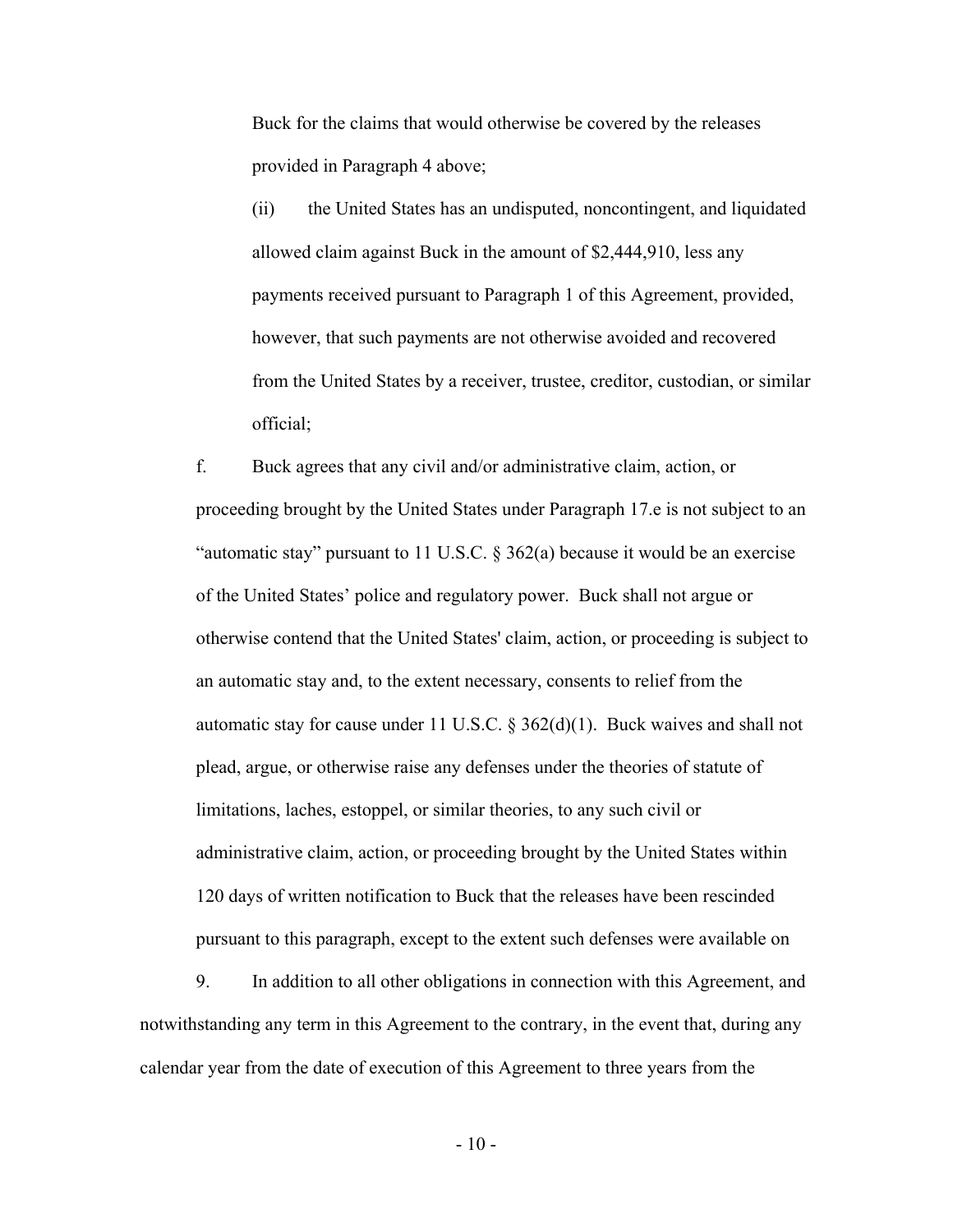Buck for the claims that would otherwise be covered by the releases provided in Paragraph 4 above;

(ii)the United States has an undisputed, noncontingent, and liquidated allowed claim against Buck in the amount of \$2,444,910, less any payments received pursuant to Paragraph 1 of this Agreement, provided, however, that such payments are not otherwise avoided and recovered from the United States by a receiver, trustee, creditor, custodian, or similar official;

f. Buck agrees that any civil and/or administrative claim, action, or proceeding brought by the United States under Paragraph 17.e is not subject to an "automatic stay" pursuant to 11 U.S.C.  $\S 362(a)$  because it would be an exercise of the United States' police and regulatory power. Buck shall not argue or otherwise contend that the United States' claim, action, or proceeding is subject to an automatic stay and, to the extent necessary, consents to relief from the automatic stay for cause under 11 U.S.C.  $\S 362(d)(1)$ . Buck waives and shall not plead, argue, or otherwise raise any defenses under the theories of statute of limitations, laches, estoppel, or similar theories, to any such civil or administrative claim, action, or proceeding brought by the United States within 120 days of written notification to Buck that the releases have been rescinded pursuant to this paragraph, except to the extent such defenses were available on

 9. In addition to all other obligations in connection with this Agreement, and notwithstanding any term in this Agreement to the contrary, in the event that, during any calendar year from the date of execution of this Agreement to three years from the

 $-10-$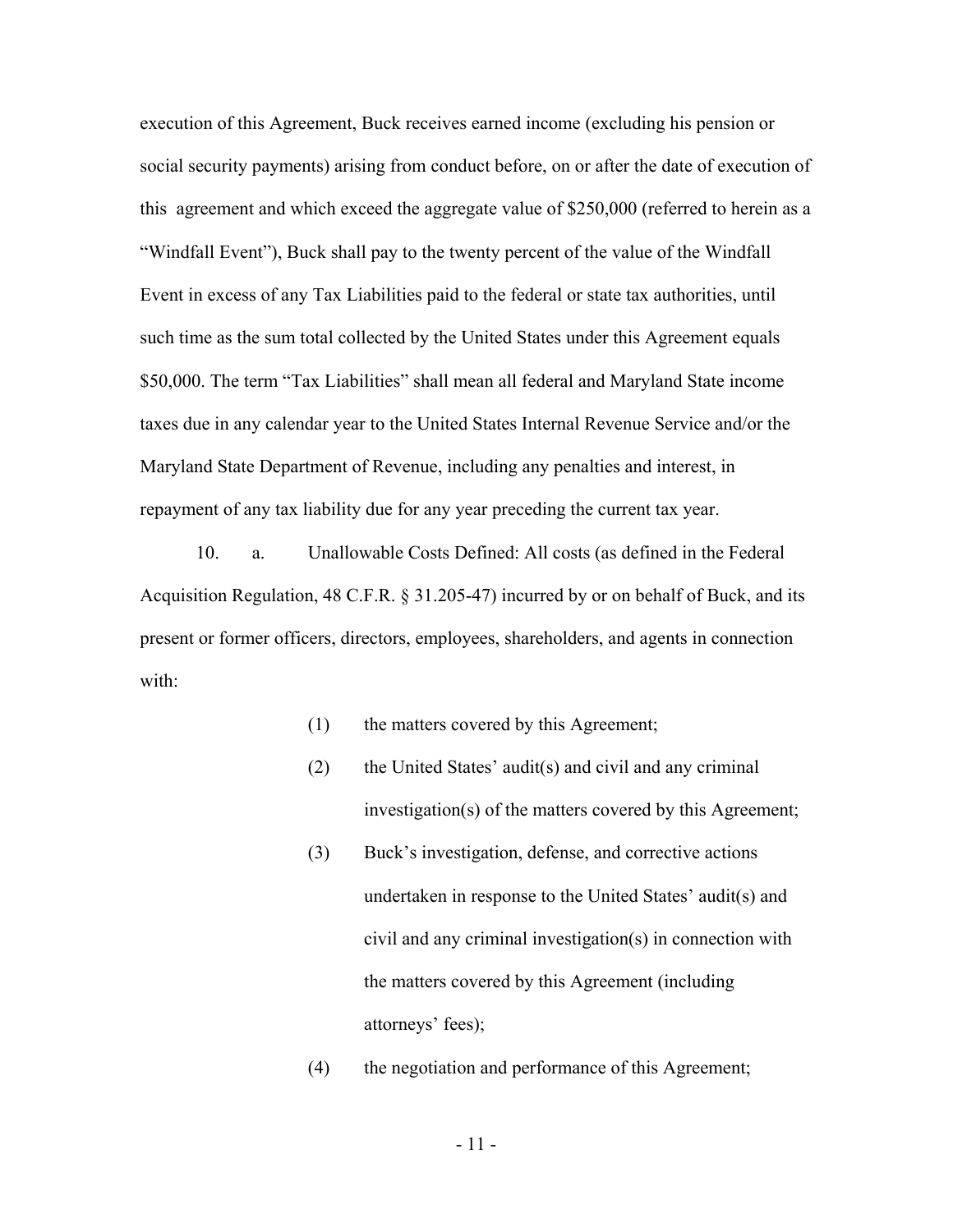execution of this Agreement, Buck receives earned income (excluding his pension or social security payments) arising from conduct before, on or after the date of execution of this agreement and which exceed the aggregate value of \$250,000 (referred to herein as a "Windfall Event"), Buck shall pay to the twenty percent of the value of the Windfall Event in excess of any Tax Liabilities paid to the federal or state tax authorities, until such time as the sum total collected by the United States under this Agreement equals \$50,000. The term "Tax Liabilities" shall mean all federal and Maryland State income taxes due in any calendar year to the United States Internal Revenue Service and/or the Maryland State Department of Revenue, including any penalties and interest, in repayment of any tax liability due for any year preceding the current tax year.

 10. a. Unallowable Costs Defined: All costs (as defined in the Federal Acquisition Regulation, 48 C.F.R. § 31.205-47) incurred by or on behalf of Buck, and its present or former officers, directors, employees, shareholders, and agents in connection with:

- (1) the matters covered by this Agreement;
- (2) the United States' audit(s) and civil and any criminal investigation(s) of the matters covered by this Agreement;
- (3) Buck's investigation, defense, and corrective actions undertaken in response to the United States' audit(s) and civil and any criminal investigation(s) in connection with the matters covered by this Agreement (including attorneys' fees);

(4) the negotiation and performance of this Agreement;

- 11 -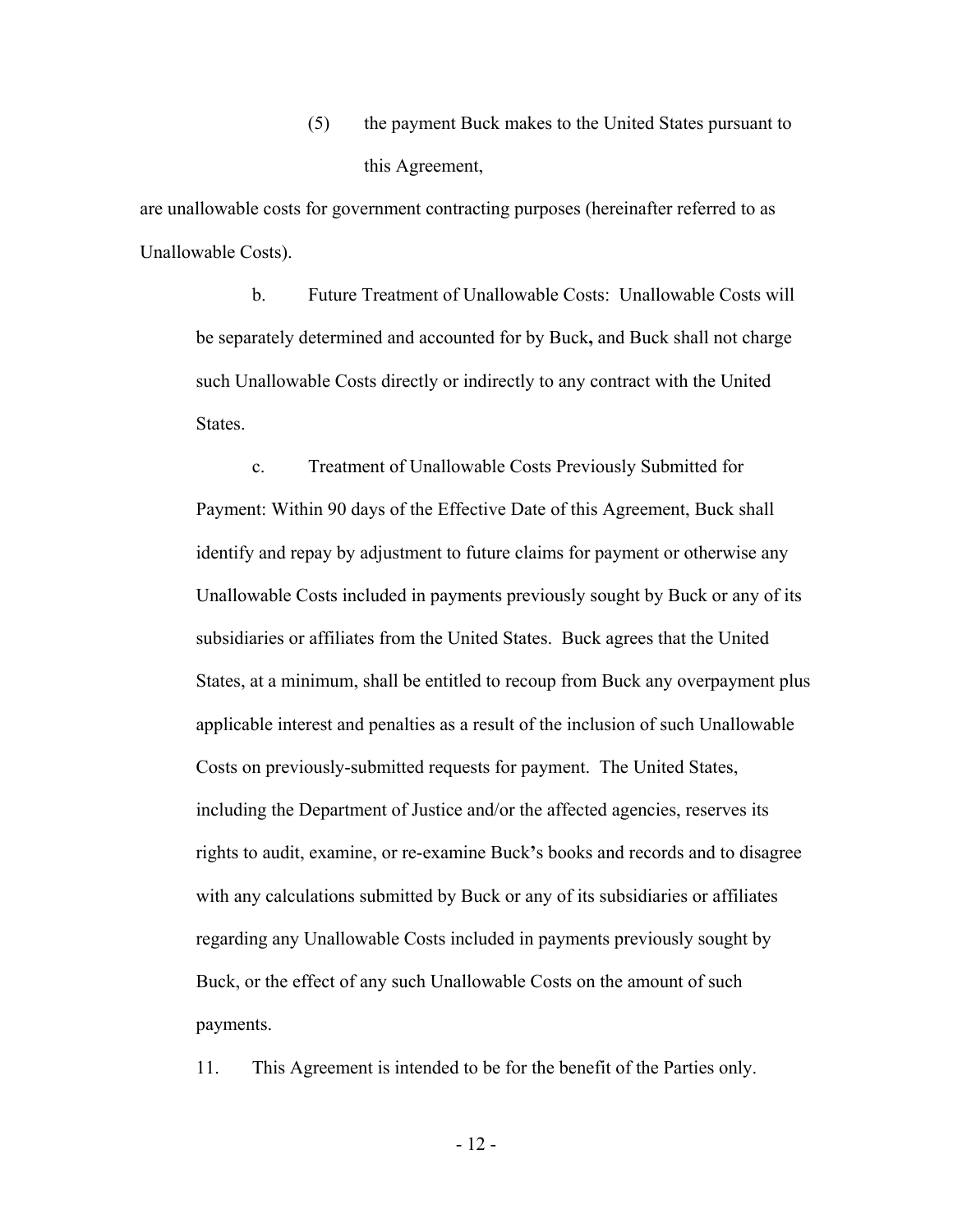(5) the payment Buck makes to the United States pursuant to this Agreement,

are unallowable costs for government contracting purposes (hereinafter referred to as Unallowable Costs).

b. Future Treatment of Unallowable Costs: Unallowable Costs will be separately determined and accounted for by Buck**,** and Buck shall not charge such Unallowable Costs directly or indirectly to any contract with the United States.

c. Treatment of Unallowable Costs Previously Submitted for Payment: Within 90 days of the Effective Date of this Agreement, Buck shall identify and repay by adjustment to future claims for payment or otherwise any Unallowable Costs included in payments previously sought by Buck or any of its subsidiaries or affiliates from the United States. Buck agrees that the United States, at a minimum, shall be entitled to recoup from Buck any overpayment plus applicable interest and penalties as a result of the inclusion of such Unallowable Costs on previously-submitted requests for payment. The United States, including the Department of Justice and/or the affected agencies, reserves its rights to audit, examine, or re-examine Buck**'**s books and records and to disagree with any calculations submitted by Buck or any of its subsidiaries or affiliates regarding any Unallowable Costs included in payments previously sought by Buck, or the effect of any such Unallowable Costs on the amount of such payments.

11. This Agreement is intended to be for the benefit of the Parties only.

- 12 -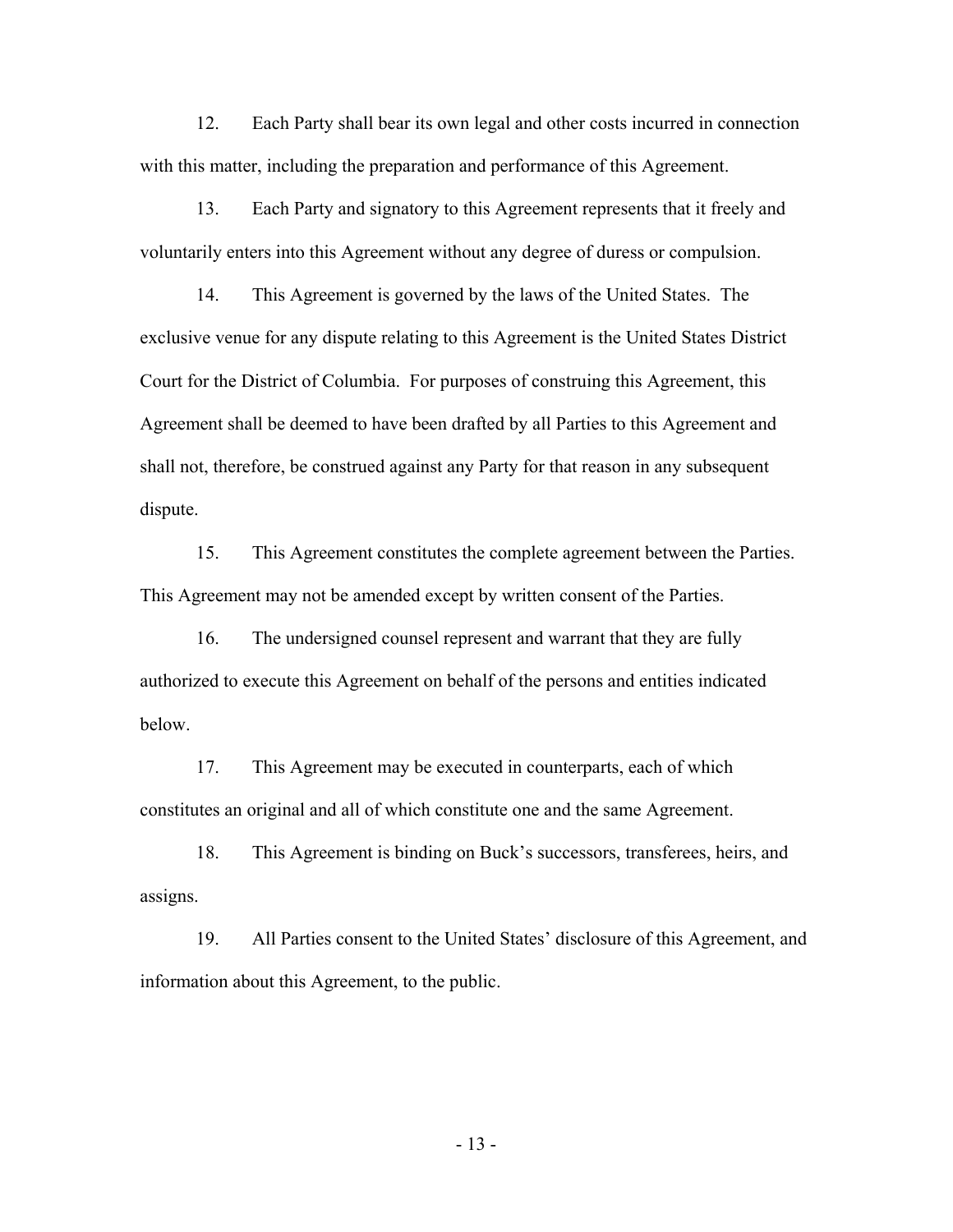12. Each Party shall bear its own legal and other costs incurred in connection with this matter, including the preparation and performance of this Agreement.

 13. Each Party and signatory to this Agreement represents that it freely and voluntarily enters into this Agreement without any degree of duress or compulsion.

 14. This Agreement is governed by the laws of the United States. The exclusive venue for any dispute relating to this Agreement is the United States District Court for the District of Columbia. For purposes of construing this Agreement, this Agreement shall be deemed to have been drafted by all Parties to this Agreement and shall not, therefore, be construed against any Party for that reason in any subsequent dispute.

 15. This Agreement constitutes the complete agreement between the Parties. This Agreement may not be amended except by written consent of the Parties.

 16. The undersigned counsel represent and warrant that they are fully authorized to execute this Agreement on behalf of the persons and entities indicated below.

 17. This Agreement may be executed in counterparts, each of which constitutes an original and all of which constitute one and the same Agreement.

 18. This Agreement is binding on Buck's successors, transferees, heirs, and assigns.

 19. All Parties consent to the United States' disclosure of this Agreement, and information about this Agreement, to the public.

- 13 -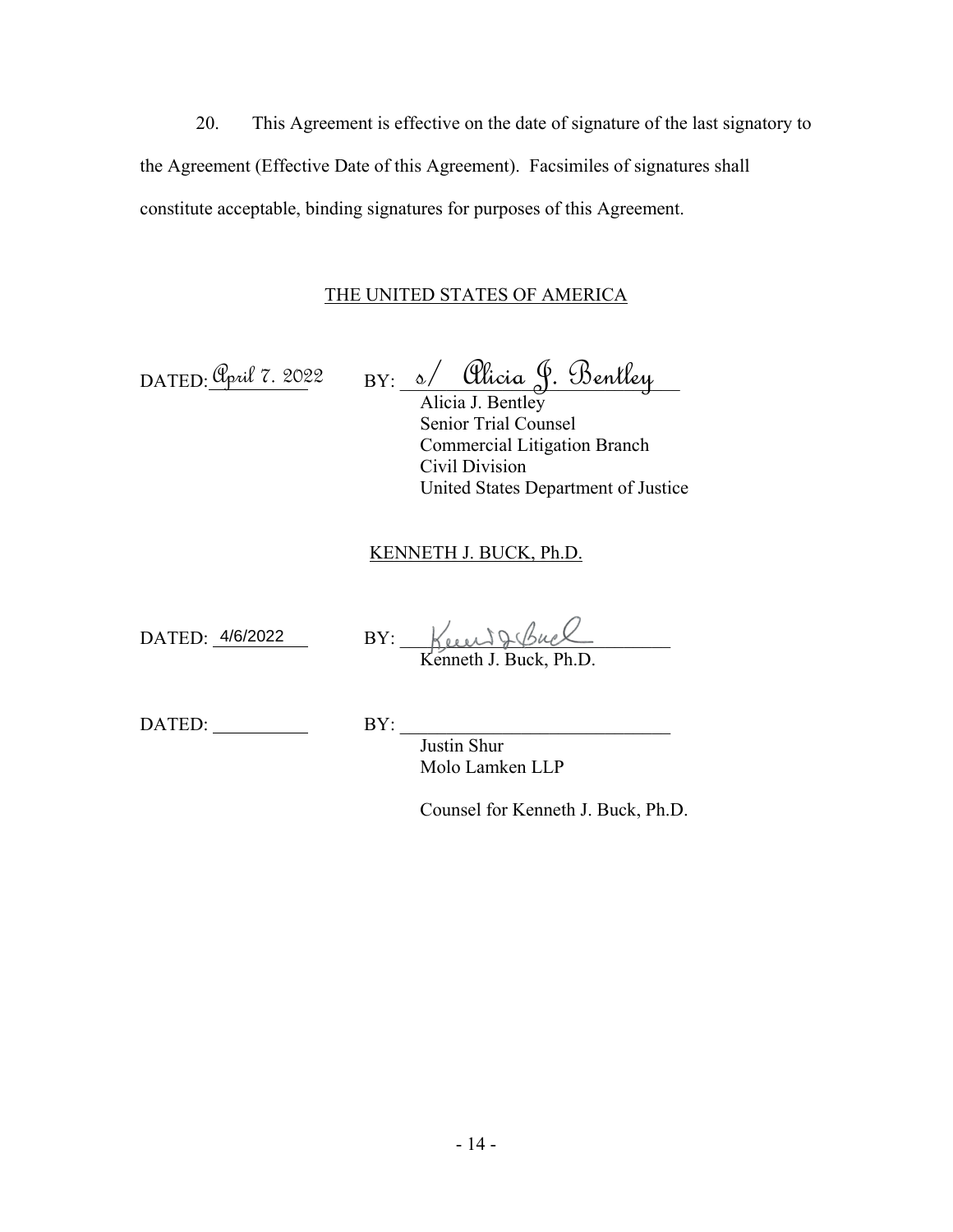20. This Agreement is effective on the date of signature of the last signatory to the Agreement (Effective Date of this Agreement). Facsimiles of signatures shall constitute acceptable, binding signatures for purposes of this Agreement.

# THE UNITED STATES OF AMERICA

DATED<u>: Upril 7. 2022</u> BY: s/ Ulicia Y. Dentley Alicia J. Bentley <u> Opril 7. 2022</u> BY: <u>s/ Olicia J. Bentley</u>

Senior Trial Counsel Commercial Litigation Branch Civil Division United States Department of Justice

### KENNETH J. BUCK, Ph.D.

DATED: 4/6/2022

DATED: 4/6/2022 BY: Keen J. Buck

Kenneth J. Buck, Ph.D.

DATED: BY:

Justin Shur Molo Lamken LLP

Counsel for Kenneth J. Buck, Ph.D.